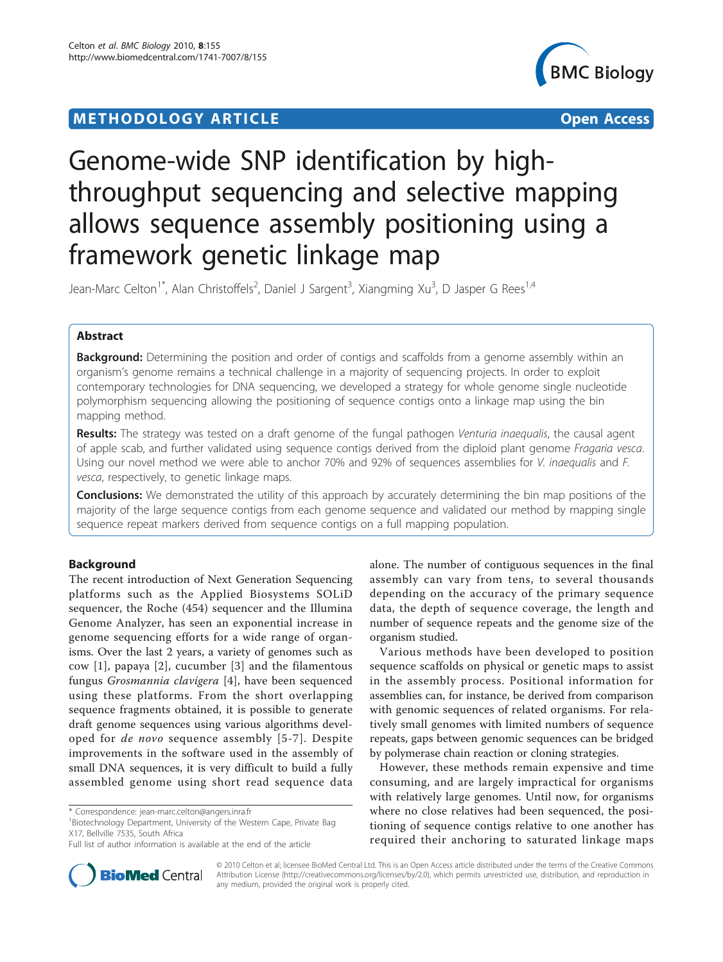# **METHODOLOGY ARTICLE Example 2008 The CONSTRUCTION CONSTRUCTS**



# Genome-wide SNP identification by highthroughput sequencing and selective mapping allows sequence assembly positioning using a framework genetic linkage map

Jean-Marc Celton<sup>1\*</sup>, Alan Christoffels<sup>2</sup>, Daniel J Sargent<sup>3</sup>, Xiangming Xu<sup>3</sup>, D Jasper G Rees<sup>1,4</sup>

# Abstract

**Background:** Determining the position and order of contigs and scaffolds from a genome assembly within an organism's genome remains a technical challenge in a majority of sequencing projects. In order to exploit contemporary technologies for DNA sequencing, we developed a strategy for whole genome single nucleotide polymorphism sequencing allowing the positioning of sequence contigs onto a linkage map using the bin mapping method.

Results: The strategy was tested on a draft genome of the fungal pathogen Venturia inaequalis, the causal agent of apple scab, and further validated using sequence contigs derived from the diploid plant genome Fragaria vesca. Using our novel method we were able to anchor 70% and 92% of sequences assemblies for V. inaequalis and F. vesca, respectively, to genetic linkage maps.

**Conclusions:** We demonstrated the utility of this approach by accurately determining the bin map positions of the majority of the large sequence contigs from each genome sequence and validated our method by mapping single sequence repeat markers derived from sequence contigs on a full mapping population.

# Background

The recent introduction of Next Generation Sequencing platforms such as the Applied Biosystems SOLiD sequencer, the Roche (454) sequencer and the Illumina Genome Analyzer, has seen an exponential increase in genome sequencing efforts for a wide range of organisms. Over the last 2 years, a variety of genomes such as cow [\[1](#page-7-0)], papaya [\[2](#page-7-0)], cucumber [\[3\]](#page-7-0) and the filamentous fungus Grosmannia clavigera [\[4](#page-7-0)], have been sequenced using these platforms. From the short overlapping sequence fragments obtained, it is possible to generate draft genome sequences using various algorithms developed for de novo sequence assembly [[5](#page-7-0)-[7\]](#page-7-0). Despite improvements in the software used in the assembly of small DNA sequences, it is very difficult to build a fully assembled genome using short read sequence data



Various methods have been developed to position sequence scaffolds on physical or genetic maps to assist in the assembly process. Positional information for assemblies can, for instance, be derived from comparison with genomic sequences of related organisms. For relatively small genomes with limited numbers of sequence repeats, gaps between genomic sequences can be bridged by polymerase chain reaction or cloning strategies.

However, these methods remain expensive and time consuming, and are largely impractical for organisms with relatively large genomes. Until now, for organisms where no close relatives had been sequenced, the positioning of sequence contigs relative to one another has required their anchoring to saturated linkage maps



© 2010 Celton et al; licensee BioMed Central Ltd. This is an Open Access article distributed under the terms of the Creative Commons Attribution License [\(http://creativecommons.org/licenses/by/2.0](http://creativecommons.org/licenses/by/2.0)), which permits unrestricted use, distribution, and reproduction in any medium, provided the original work is properly cited.

<sup>\*</sup> Correspondence: [jean-marc.celton@angers.inra.fr](mailto:jean-marc.celton@angers.inra.fr)

<sup>&</sup>lt;sup>1</sup> Biotechnology Department, University of the Western Cape, Private Bag X17, Bellville 7535, South Africa

Full list of author information is available at the end of the article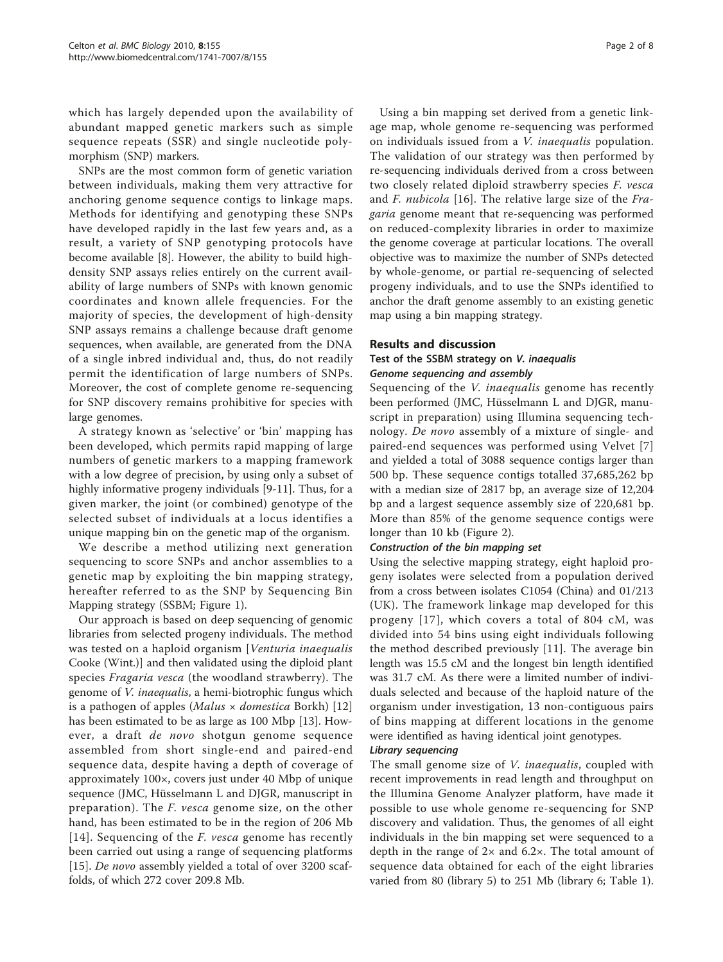which has largely depended upon the availability of abundant mapped genetic markers such as simple sequence repeats (SSR) and single nucleotide polymorphism (SNP) markers.

SNPs are the most common form of genetic variation between individuals, making them very attractive for anchoring genome sequence contigs to linkage maps. Methods for identifying and genotyping these SNPs have developed rapidly in the last few years and, as a result, a variety of SNP genotyping protocols have become available [\[8](#page-7-0)]. However, the ability to build highdensity SNP assays relies entirely on the current availability of large numbers of SNPs with known genomic coordinates and known allele frequencies. For the majority of species, the development of high-density SNP assays remains a challenge because draft genome sequences, when available, are generated from the DNA of a single inbred individual and, thus, do not readily permit the identification of large numbers of SNPs. Moreover, the cost of complete genome re-sequencing for SNP discovery remains prohibitive for species with large genomes.

A strategy known as 'selective' or 'bin' mapping has been developed, which permits rapid mapping of large numbers of genetic markers to a mapping framework with a low degree of precision, by using only a subset of highly informative progeny individuals [[9](#page-7-0)-[11\]](#page-7-0). Thus, for a given marker, the joint (or combined) genotype of the selected subset of individuals at a locus identifies a unique mapping bin on the genetic map of the organism.

We describe a method utilizing next generation sequencing to score SNPs and anchor assemblies to a genetic map by exploiting the bin mapping strategy, hereafter referred to as the SNP by Sequencing Bin Mapping strategy (SSBM; Figure [1](#page-2-0)).

Our approach is based on deep sequencing of genomic libraries from selected progeny individuals. The method was tested on a haploid organism [Venturia inaequalis Cooke (Wint.)] and then validated using the diploid plant species Fragaria vesca (the woodland strawberry). The genome of V. inaequalis, a hemi-biotrophic fungus which is a pathogen of apples (*Malus*  $\times$  *domestica* Borkh) [\[12](#page-7-0)] has been estimated to be as large as 100 Mbp [\[13](#page-7-0)]. However, a draft de novo shotgun genome sequence assembled from short single-end and paired-end sequence data, despite having a depth of coverage of approximately 100×, covers just under 40 Mbp of unique sequence (JMC, Hüsselmann L and DJGR, manuscript in preparation). The F. vesca genome size, on the other hand, has been estimated to be in the region of 206 Mb [[14\]](#page-7-0). Sequencing of the F. vesca genome has recently been carried out using a range of sequencing platforms [[15\]](#page-7-0). De novo assembly yielded a total of over 3200 scaffolds, of which 272 cover 209.8 Mb.

Using a bin mapping set derived from a genetic linkage map, whole genome re-sequencing was performed on individuals issued from a V. inaequalis population. The validation of our strategy was then performed by re-sequencing individuals derived from a cross between two closely related diploid strawberry species F. vesca and *F. nubicola* [\[16](#page-7-0)]. The relative large size of the *Fra*garia genome meant that re-sequencing was performed on reduced-complexity libraries in order to maximize the genome coverage at particular locations. The overall objective was to maximize the number of SNPs detected by whole-genome, or partial re-sequencing of selected progeny individuals, and to use the SNPs identified to anchor the draft genome assembly to an existing genetic map using a bin mapping strategy.

# Results and discussion

# Test of the SSBM strategy on V. inaequalis Genome sequencing and assembly

Sequencing of the *V. inaequalis* genome has recently been performed (JMC, Hüsselmann L and DJGR, manuscript in preparation) using Illumina sequencing technology. De novo assembly of a mixture of single- and paired-end sequences was performed using Velvet [\[7](#page-7-0)] and yielded a total of 3088 sequence contigs larger than 500 bp. These sequence contigs totalled 37,685,262 bp with a median size of 2817 bp, an average size of 12,204 bp and a largest sequence assembly size of 220,681 bp. More than 85% of the genome sequence contigs were longer than 10 kb (Figure [2](#page-3-0)).

#### Construction of the bin mapping set

Using the selective mapping strategy, eight haploid progeny isolates were selected from a population derived from a cross between isolates C1054 (China) and 01/213 (UK). The framework linkage map developed for this progeny [[17](#page-7-0)], which covers a total of 804 cM, was divided into 54 bins using eight individuals following the method described previously [[11\]](#page-7-0). The average bin length was 15.5 cM and the longest bin length identified was 31.7 cM. As there were a limited number of individuals selected and because of the haploid nature of the organism under investigation, 13 non-contiguous pairs of bins mapping at different locations in the genome were identified as having identical joint genotypes.

#### Library sequencing

The small genome size of *V. inaequalis*, coupled with recent improvements in read length and throughput on the Illumina Genome Analyzer platform, have made it possible to use whole genome re-sequencing for SNP discovery and validation. Thus, the genomes of all eight individuals in the bin mapping set were sequenced to a depth in the range of  $2\times$  and 6.2 $\times$ . The total amount of sequence data obtained for each of the eight libraries varied from 80 (library 5) to 251 Mb (library 6; Table [1](#page-3-0)).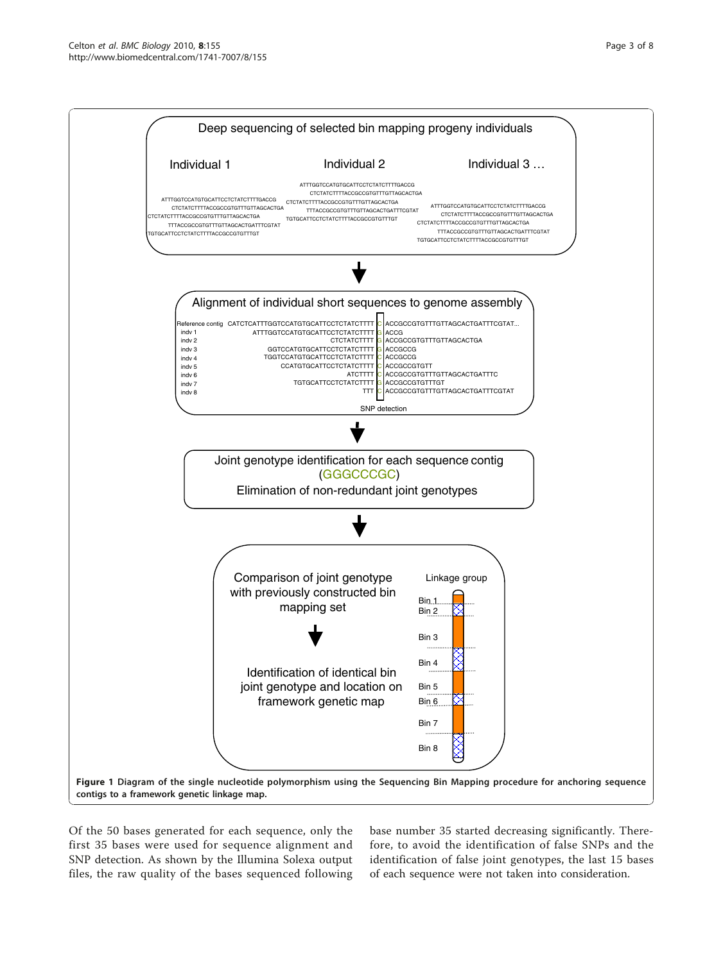<span id="page-2-0"></span>

Of the 50 bases generated for each sequence, only the first 35 bases were used for sequence alignment and SNP detection. As shown by the Illumina Solexa output files, the raw quality of the bases sequenced following

base number 35 started decreasing significantly. Therefore, to avoid the identification of false SNPs and the identification of false joint genotypes, the last 15 bases of each sequence were not taken into consideration.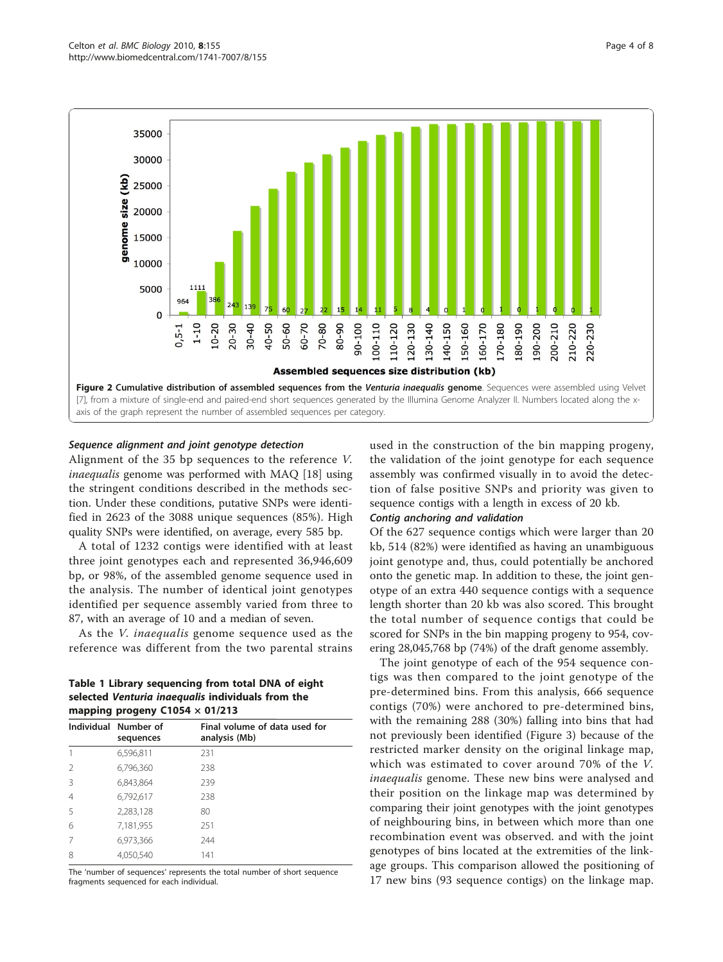<span id="page-3-0"></span>

#### Sequence alignment and joint genotype detection

Alignment of the 35 bp sequences to the reference V. inaequalis genome was performed with MAQ [[18](#page-7-0)] using the stringent conditions described in the methods section. Under these conditions, putative SNPs were identified in 2623 of the 3088 unique sequences (85%). High quality SNPs were identified, on average, every 585 bp.

A total of 1232 contigs were identified with at least three joint genotypes each and represented 36,946,609 bp, or 98%, of the assembled genome sequence used in the analysis. The number of identical joint genotypes identified per sequence assembly varied from three to 87, with an average of 10 and a median of seven.

As the V. inaequalis genome sequence used as the reference was different from the two parental strains

Table 1 Library sequencing from total DNA of eight selected Venturia inaequalis individuals from the mapping progeny  $C1054 \times 01/213$ 

| . .            |                                   |                                                |  |
|----------------|-----------------------------------|------------------------------------------------|--|
|                | Individual Number of<br>sequences | Final volume of data used for<br>analysis (Mb) |  |
|                | 6,596,811                         | 231                                            |  |
| $\mathcal{P}$  | 6,796,360                         | 238                                            |  |
| 3              | 6,843,864                         | 239                                            |  |
| $\overline{4}$ | 6,792,617                         | 238                                            |  |
| 5              | 2,283,128                         | 80                                             |  |
| 6              | 7,181,955                         | 251                                            |  |
| 7              | 6,973,366                         | 244                                            |  |
| 8              | 4,050,540                         | 141                                            |  |
|                |                                   |                                                |  |

The 'number of sequences' represents the total number of short sequence fragments sequenced for each individual.

used in the construction of the bin mapping progeny, the validation of the joint genotype for each sequence assembly was confirmed visually in to avoid the detection of false positive SNPs and priority was given to sequence contigs with a length in excess of 20 kb.

## Contig anchoring and validation

Of the 627 sequence contigs which were larger than 20 kb, 514 (82%) were identified as having an unambiguous joint genotype and, thus, could potentially be anchored onto the genetic map. In addition to these, the joint genotype of an extra 440 sequence contigs with a sequence length shorter than 20 kb was also scored. This brought the total number of sequence contigs that could be scored for SNPs in the bin mapping progeny to 954, covering 28,045,768 bp (74%) of the draft genome assembly.

The joint genotype of each of the 954 sequence contigs was then compared to the joint genotype of the pre-determined bins. From this analysis, 666 sequence contigs (70%) were anchored to pre-determined bins, with the remaining 288 (30%) falling into bins that had not previously been identified (Figure [3\)](#page-4-0) because of the restricted marker density on the original linkage map, which was estimated to cover around 70% of the V. inaequalis genome. These new bins were analysed and their position on the linkage map was determined by comparing their joint genotypes with the joint genotypes of neighbouring bins, in between which more than one recombination event was observed. and with the joint genotypes of bins located at the extremities of the linkage groups. This comparison allowed the positioning of 17 new bins (93 sequence contigs) on the linkage map.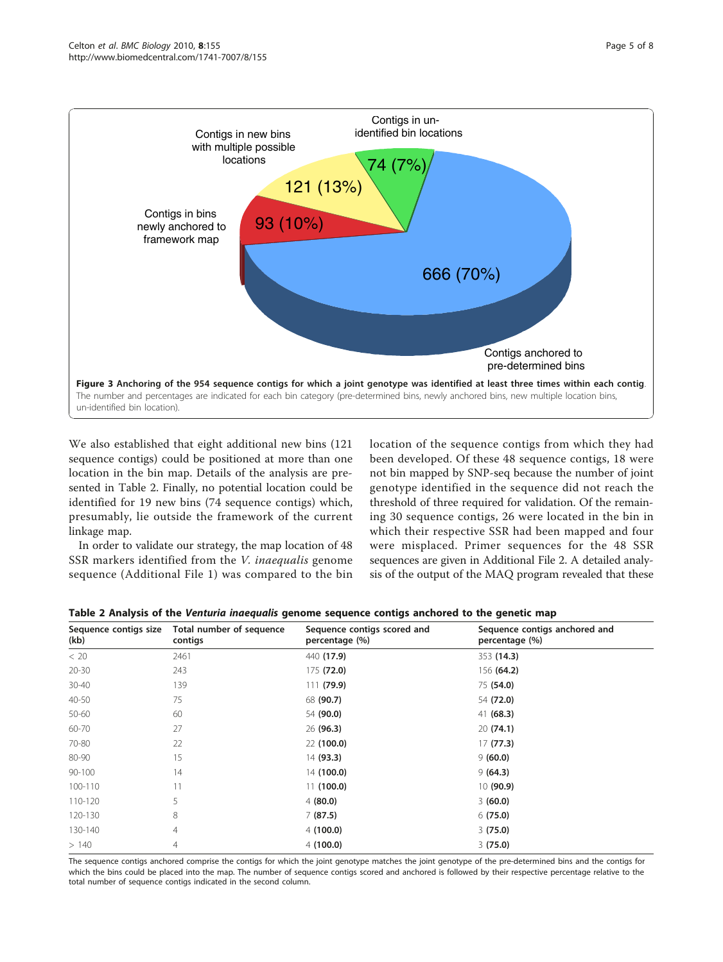<span id="page-4-0"></span>

We also established that eight additional new bins (121 sequence contigs) could be positioned at more than one location in the bin map. Details of the analysis are presented in Table 2. Finally, no potential location could be identified for 19 new bins (74 sequence contigs) which, presumably, lie outside the framework of the current linkage map.

In order to validate our strategy, the map location of 48 SSR markers identified from the *V. inaequalis* genome sequence (Additional File [1](#page-6-0)) was compared to the bin location of the sequence contigs from which they had been developed. Of these 48 sequence contigs, 18 were not bin mapped by SNP-seq because the number of joint genotype identified in the sequence did not reach the threshold of three required for validation. Of the remaining 30 sequence contigs, 26 were located in the bin in which their respective SSR had been mapped and four were misplaced. Primer sequences for the 48 SSR sequences are given in Additional File [2](#page-6-0). A detailed analysis of the output of the MAQ program revealed that these

| Sequence contigs size<br>(kb) | Total number of sequence<br>contigs | Sequence contigs scored and<br>percentage (%) | Sequence contigs anchored and<br>percentage (%) |
|-------------------------------|-------------------------------------|-----------------------------------------------|-------------------------------------------------|
| < 20                          | 2461                                | 440 (17.9)                                    | 353 (14.3)                                      |
| $20 - 30$                     | 243                                 | 175(72.0)                                     | 156 (64.2)                                      |
| $30 - 40$                     | 139                                 | 111(79.9)                                     | 75(54.0)                                        |
| 40-50                         | 75                                  | 68 (90.7)                                     | 54 (72.0)                                       |
| 50-60                         | 60                                  | 54 (90.0)                                     | 41(68.3)                                        |
| 60-70                         | 27                                  | 26 (96.3)                                     | 20(74.1)                                        |
| 70-80                         | 22                                  | 22 (100.0)                                    | 17(77.3)                                        |
| 80-90                         | 15                                  | 14(93.3)                                      | 9(60.0)                                         |
| 90-100                        | 14                                  | 14(100.0)                                     | 9(64.3)                                         |
| 100-110                       | 11                                  | 11(100.0)                                     | 10(90.9)                                        |
| 110-120                       | 5                                   | 4(80.0)                                       | 3(60.0)                                         |
| 120-130                       | 8                                   | 7(87.5)                                       | 6(75.0)                                         |
| 130-140                       | 4                                   | 4(100.0)                                      | 3(75.0)                                         |
| >140                          | 4                                   | 4(100.0)                                      | 3(75.0)                                         |

Table 2 Analysis of the Venturia inaequalis genome sequence contigs anchored to the genetic map

The sequence contigs anchored comprise the contigs for which the joint genotype matches the joint genotype of the pre-determined bins and the contigs for which the bins could be placed into the map. The number of sequence contigs scored and anchored is followed by their respective percentage relative to the total number of sequence contigs indicated in the second column.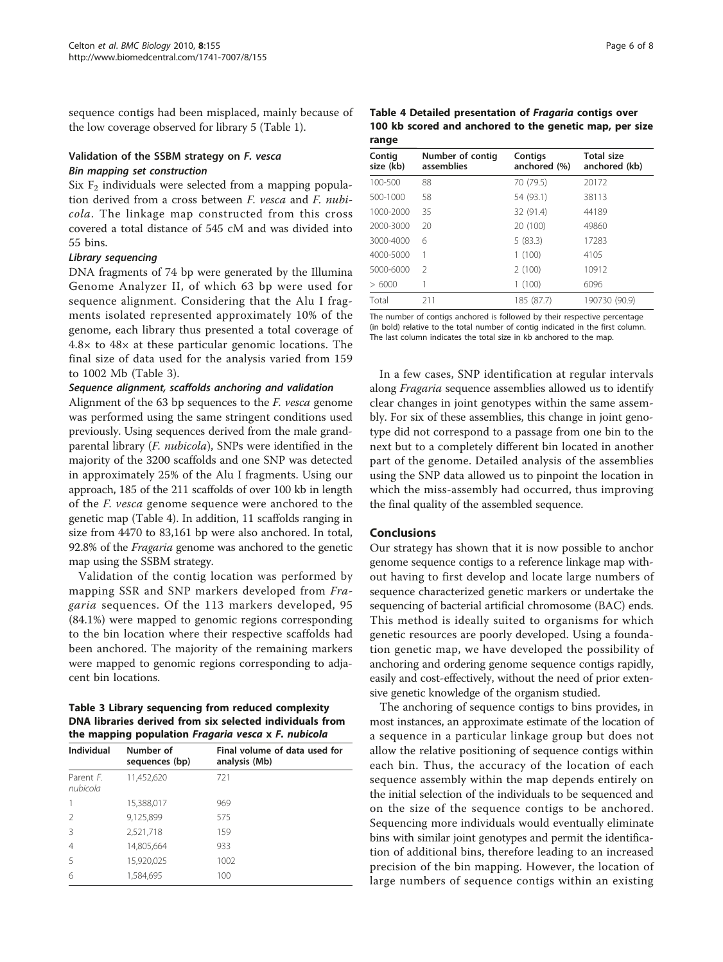sequence contigs had been misplaced, mainly because of the low coverage observed for library 5 (Table [1\)](#page-3-0).

# Validation of the SSBM strategy on F. vesca Bin mapping set construction

Six  $F_2$  individuals were selected from a mapping population derived from a cross between F. vesca and F. nubicola. The linkage map constructed from this cross covered a total distance of 545 cM and was divided into 55 bins.

#### Library sequencing

DNA fragments of 74 bp were generated by the Illumina Genome Analyzer II, of which 63 bp were used for sequence alignment. Considering that the Alu I fragments isolated represented approximately 10% of the genome, each library thus presented a total coverage of 4.8× to 48× at these particular genomic locations. The final size of data used for the analysis varied from 159 to 1002 Mb (Table 3).

## Sequence alignment, scaffolds anchoring and validation

Alignment of the 63 bp sequences to the F. vesca genome was performed using the same stringent conditions used previously. Using sequences derived from the male grandparental library (F. nubicola), SNPs were identified in the majority of the 3200 scaffolds and one SNP was detected in approximately 25% of the Alu I fragments. Using our approach, 185 of the 211 scaffolds of over 100 kb in length of the F. vesca genome sequence were anchored to the genetic map (Table 4). In addition, 11 scaffolds ranging in size from 4470 to 83,161 bp were also anchored. In total, 92.8% of the Fragaria genome was anchored to the genetic map using the SSBM strategy.

Validation of the contig location was performed by mapping SSR and SNP markers developed from Fragaria sequences. Of the 113 markers developed, 95 (84.1%) were mapped to genomic regions corresponding to the bin location where their respective scaffolds had been anchored. The majority of the remaining markers were mapped to genomic regions corresponding to adjacent bin locations.

# Table 3 Library sequencing from reduced complexity DNA libraries derived from six selected individuals from the mapping population Fragaria vesca <sup>x</sup> F. nubicola

| Individual            | Number of<br>sequences (bp) | Final volume of data used for<br>analysis (Mb) |
|-----------------------|-----------------------------|------------------------------------------------|
| Parent F.<br>nubicola | 11,452,620                  | 721                                            |
|                       | 15,388,017                  | 969                                            |
| $\mathcal{P}$         | 9,125,899                   | 575                                            |
| 3                     | 2,521,718                   | 159                                            |
| $\overline{4}$        | 14,805,664                  | 933                                            |
| 5                     | 15,920,025                  | 1002                                           |
| 6                     | 1,584,695                   | 100                                            |

Table 4 Detailed presentation of Fragaria contigs over 100 kb scored and anchored to the genetic map, per size range

| Contig<br>size (kb) | Number of contig<br>assemblies | Contigs<br>anchored (%) | <b>Total size</b><br>anchored (kb) |
|---------------------|--------------------------------|-------------------------|------------------------------------|
| 100-500             | 88                             | 70 (79.5)               | 20172                              |
| 500-1000            | 58                             | 54 (93.1)               | 38113                              |
| 1000-2000           | 35                             | 32 (91.4)               | 44189                              |
| 2000-3000           | 20                             | 20 (100)                | 49860                              |
| 3000-4000           | 6                              | 5(83.3)                 | 17283                              |
| 4000-5000           |                                | 1(100)                  | 4105                               |
| 5000-6000           | $\mathcal{P}$                  | 2(100)                  | 10912                              |
| >6000               |                                | 1(100)                  | 6096                               |
| Total               | 211                            | 185 (87.7)              | 190730 (90.9)                      |

The number of contigs anchored is followed by their respective percentage (in bold) relative to the total number of contig indicated in the first column. The last column indicates the total size in kb anchored to the map.

In a few cases, SNP identification at regular intervals along Fragaria sequence assemblies allowed us to identify clear changes in joint genotypes within the same assembly. For six of these assemblies, this change in joint genotype did not correspond to a passage from one bin to the next but to a completely different bin located in another part of the genome. Detailed analysis of the assemblies using the SNP data allowed us to pinpoint the location in which the miss-assembly had occurred, thus improving the final quality of the assembled sequence.

# Conclusions

Our strategy has shown that it is now possible to anchor genome sequence contigs to a reference linkage map without having to first develop and locate large numbers of sequence characterized genetic markers or undertake the sequencing of bacterial artificial chromosome (BAC) ends. This method is ideally suited to organisms for which genetic resources are poorly developed. Using a foundation genetic map, we have developed the possibility of anchoring and ordering genome sequence contigs rapidly, easily and cost-effectively, without the need of prior extensive genetic knowledge of the organism studied.

The anchoring of sequence contigs to bins provides, in most instances, an approximate estimate of the location of a sequence in a particular linkage group but does not allow the relative positioning of sequence contigs within each bin. Thus, the accuracy of the location of each sequence assembly within the map depends entirely on the initial selection of the individuals to be sequenced and on the size of the sequence contigs to be anchored. Sequencing more individuals would eventually eliminate bins with similar joint genotypes and permit the identification of additional bins, therefore leading to an increased precision of the bin mapping. However, the location of large numbers of sequence contigs within an existing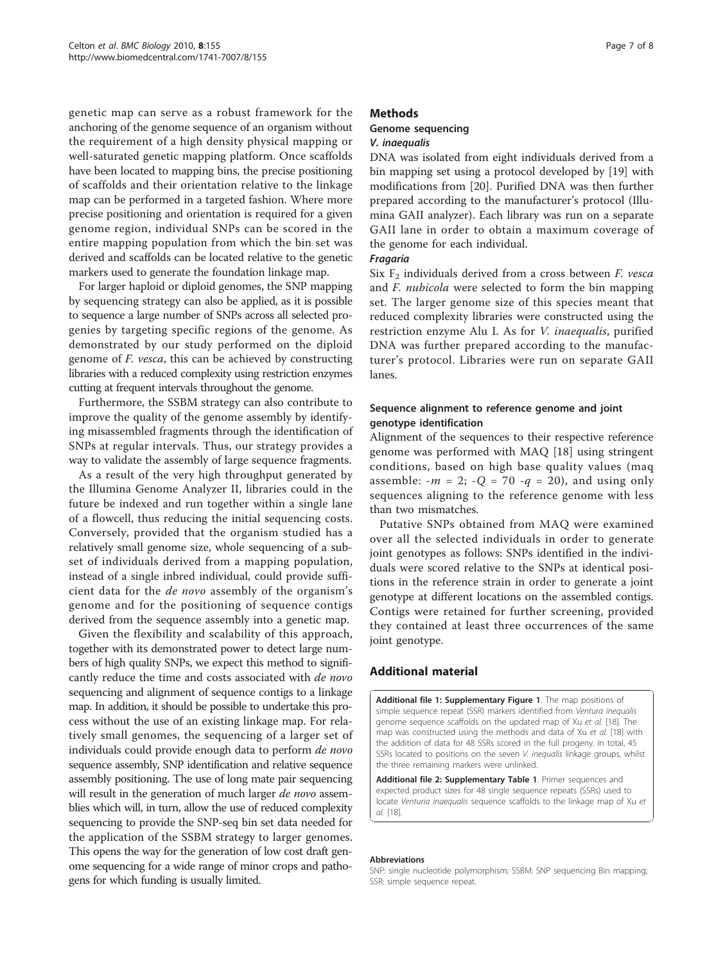<span id="page-6-0"></span>genetic map can serve as a robust framework for the anchoring of the genome sequence of an organism without the requirement of a high density physical mapping or well-saturated genetic mapping platform. Once scaffolds have been located to mapping bins, the precise positioning of scaffolds and their orientation relative to the linkage map can be performed in a targeted fashion. Where more precise positioning and orientation is required for a given genome region, individual SNPs can be scored in the entire mapping population from which the bin set was derived and scaffolds can be located relative to the genetic markers used to generate the foundation linkage map.

For larger haploid or diploid genomes, the SNP mapping by sequencing strategy can also be applied, as it is possible to sequence a large number of SNPs across all selected progenies by targeting specific regions of the genome. As demonstrated by our study performed on the diploid genome of F. vesca, this can be achieved by constructing libraries with a reduced complexity using restriction enzymes cutting at frequent intervals throughout the genome.

Furthermore, the SSBM strategy can also contribute to improve the quality of the genome assembly by identifying misassembled fragments through the identification of SNPs at regular intervals. Thus, our strategy provides a way to validate the assembly of large sequence fragments.

As a result of the very high throughput generated by the Illumina Genome Analyzer II, libraries could in the future be indexed and run together within a single lane of a flowcell, thus reducing the initial sequencing costs. Conversely, provided that the organism studied has a relatively small genome size, whole sequencing of a subset of individuals derived from a mapping population, instead of a single inbred individual, could provide sufficient data for the de novo assembly of the organism's genome and for the positioning of sequence contigs derived from the sequence assembly into a genetic map.

Given the flexibility and scalability of this approach, together with its demonstrated power to detect large numbers of high quality SNPs, we expect this method to significantly reduce the time and costs associated with de novo sequencing and alignment of sequence contigs to a linkage map. In addition, it should be possible to undertake this process without the use of an existing linkage map. For relatively small genomes, the sequencing of a larger set of individuals could provide enough data to perform de novo sequence assembly, SNP identification and relative sequence assembly positioning. The use of long mate pair sequencing will result in the generation of much larger de novo assemblies which will, in turn, allow the use of reduced complexity sequencing to provide the SNP-seq bin set data needed for the application of the SSBM strategy to larger genomes. This opens the way for the generation of low cost draft genome sequencing for a wide range of minor crops and pathogens for which funding is usually limited.

#### Methods

# Genome sequencing

# V. inaequalis

DNA was isolated from eight individuals derived from a bin mapping set using a protocol developed by [[19](#page-7-0)] with modifications from [\[20](#page-7-0)]. Purified DNA was then further prepared according to the manufacturer's protocol (Illumina GAII analyzer). Each library was run on a separate GAII lane in order to obtain a maximum coverage of the genome for each individual.

#### Fragaria

Six  $F_2$  individuals derived from a cross between F. vesca and F. nubicola were selected to form the bin mapping set. The larger genome size of this species meant that reduced complexity libraries were constructed using the restriction enzyme Alu I. As for V. inaequalis, purified DNA was further prepared according to the manufacturer's protocol. Libraries were run on separate GAII lanes.

# Sequence alignment to reference genome and joint genotype identification

Alignment of the sequences to their respective reference genome was performed with MAQ [[18](#page-7-0)] using stringent conditions, based on high base quality values (maq assemble:  $-m = 2$ ;  $-Q = 70 - q = 20$ ), and using only sequences aligning to the reference genome with less than two mismatches.

Putative SNPs obtained from MAQ were examined over all the selected individuals in order to generate joint genotypes as follows: SNPs identified in the individuals were scored relative to the SNPs at identical positions in the reference strain in order to generate a joint genotype at different locations on the assembled contigs. Contigs were retained for further screening, provided they contained at least three occurrences of the same joint genotype.

# Additional material

[Additional file 1: S](http://www.biomedcentral.com/content/supplementary/1741-7007-8-155-S1.png)upplementary Figure 1. The map positions of simple sequence repeat (SSR) markers identified from Ventura inequalis genome sequence scaffolds on the updated map of Xu et al. [[18](#page-7-0)]. The map was constructed using the methods and data of Xu et al. [[18](#page-7-0)] with the addition of data for 48 SSRs scored in the full progeny. In total, 45 SSRs located to positions on the seven V. inequalis linkage groups, whilst the three remaining markers were unlinked.

[Additional file 2: S](http://www.biomedcentral.com/content/supplementary/1741-7007-8-155-S2.doc)upplementary Table 1. Primer sequences and expected product sizes for 48 single sequence repeats (SSRs) used to locate Venturia inaequalis sequence scaffolds to the linkage map of Xu et al. [[18](#page-7-0)].

#### Abbreviations

SNP: single nucleotide polymorphism; SSBM: SNP sequencing Bin mapping; SSR: simple sequence repeat.